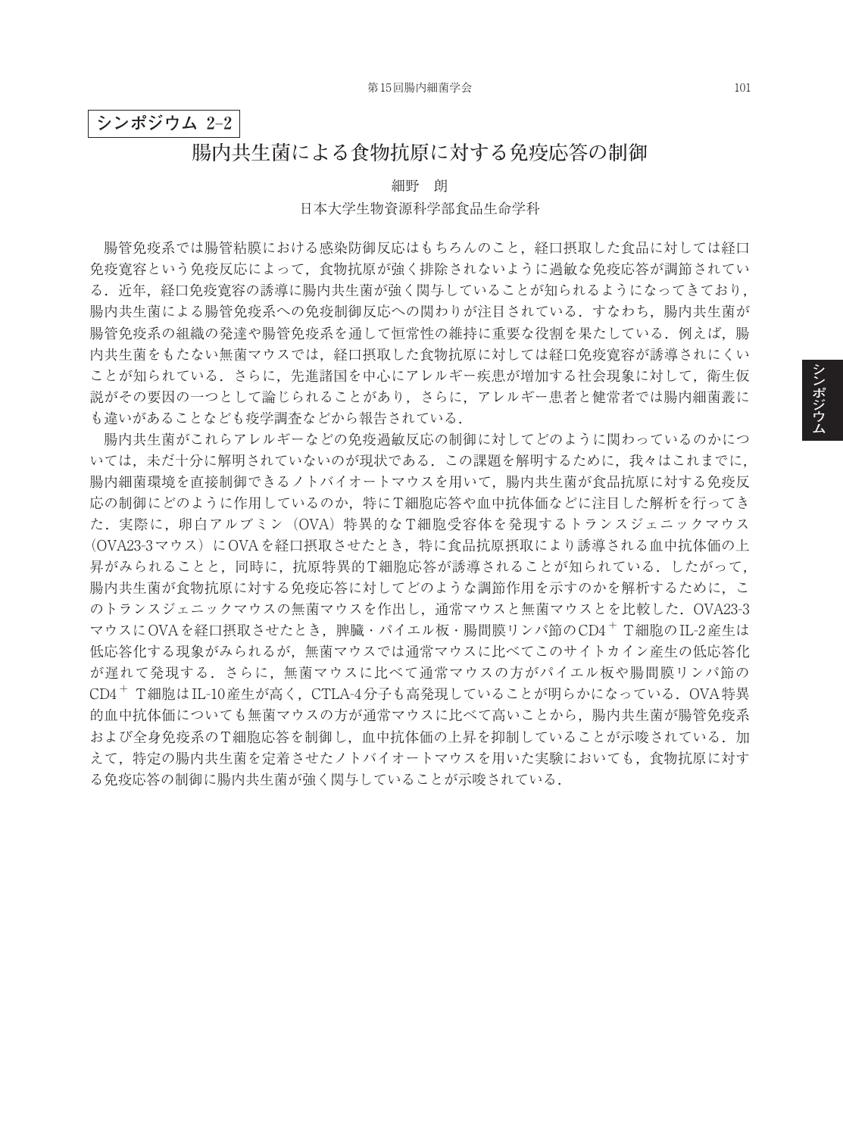## **シンポジウム 2**–**2**

## **腸内共生菌による食物抗原に対する免疫応答の制御**

細野 朗

#### 日本大学生物資源科学部食品生命学科

腸管免疫系では腸管粘膜における感染防御反応はもちろんのこと,経口摂取した食品に対しては経口 免疫寛容という免疫反応によって,食物抗原が強く排除されないように過敏な免疫応答が調節されてい る.近年,経口免疫實容の誘導に腸内共生菌が強く関与していることが知られるようになってきており. 腸内共生菌による腸管免疫系への免疫制御反応への関わりが注目されている.すなわち,腸内共生菌が 腸管免疫系の組織の発達や腸管免疫系を通して恒常性の維持に重要な役割を果たしている.例えば、腸 内共生菌をもたない無菌マウスでは,経口摂取した食物抗原に対しては経口免疫寛容が誘導されにくい ことが知られている.さらに,先進諸国を中心にアレルギー疾患が増加する社会現象に対して,衛生仮 説がその要因の一つとして論じられることがあり,さらに,アレルギー患者と健常者では腸内細菌叢に も違いがあることなども疫学調査などから報告されている.

腸内共生菌がこれらアレルギーなどの免疫過敏反応の制御に対してどのように関わっているのかにつ いては,未だ十分に解明されていないのが現状である.この課題を解明するために,我々はこれまでに, 腸内細菌環境を直接制御できるノトバイオートマウスを用いて,腸内共生菌が食品抗原に対する免疫反 応の制御にどのように作用しているのか,特にT細胞応答や血中抗体価などに注目した解析を行ってき た.実際に、卵白アルブミン (OVA)特異的な T細胞受容体を発現するトランスジェニックマウス (OVA23-3マウス)にOVAを経口摂取させたとき,特に食品抗原摂取により誘導される血中抗体価の上 昇がみられることと,同時に,抗原特異的T細胞応答が誘導されることが知られている.したがって, 腸内共生菌が食物抗原に対する免疫応答に対してどのような調節作用を示すのかを解析するために、こ のトランスジェニックマウスの無菌マウスを作出し,通常マウスと無菌マウスとを比較した.OVA23-3 マウスにOVAを経口摂取させたとき,脾臓・パイエル板・腸間膜リンパ節のCD4<sup>+</sup> T細胞のIL-2産生は 低応答化する現象がみられるが,無菌マウスでは通常マウスに比べてこのサイトカイン産生の低応答化 が遅れて発現する.さらに,無菌マウスに比べて通常マウスの方がパイエル板や腸間膜リンパ節の CD4<sup>+</sup> T細胞はIL-10産生が高く,CTLA-4分子も高発現していることが明らかになっている.OVA特異 的血中抗体価についても無菌マウスの方が通常マウスに比べて高いことから,腸内共生菌が腸管免疫系 および全身免疫系のT細胞応答を制御し,血中抗体価の上昇を抑制していることが示唆されている.加 えて,特定の腸内共生菌を定着させたノトバイオートマウスを用いた実験においても,食物抗原に対す る免疫応答の制御に腸内共生菌が強く関与していることが示唆されている.